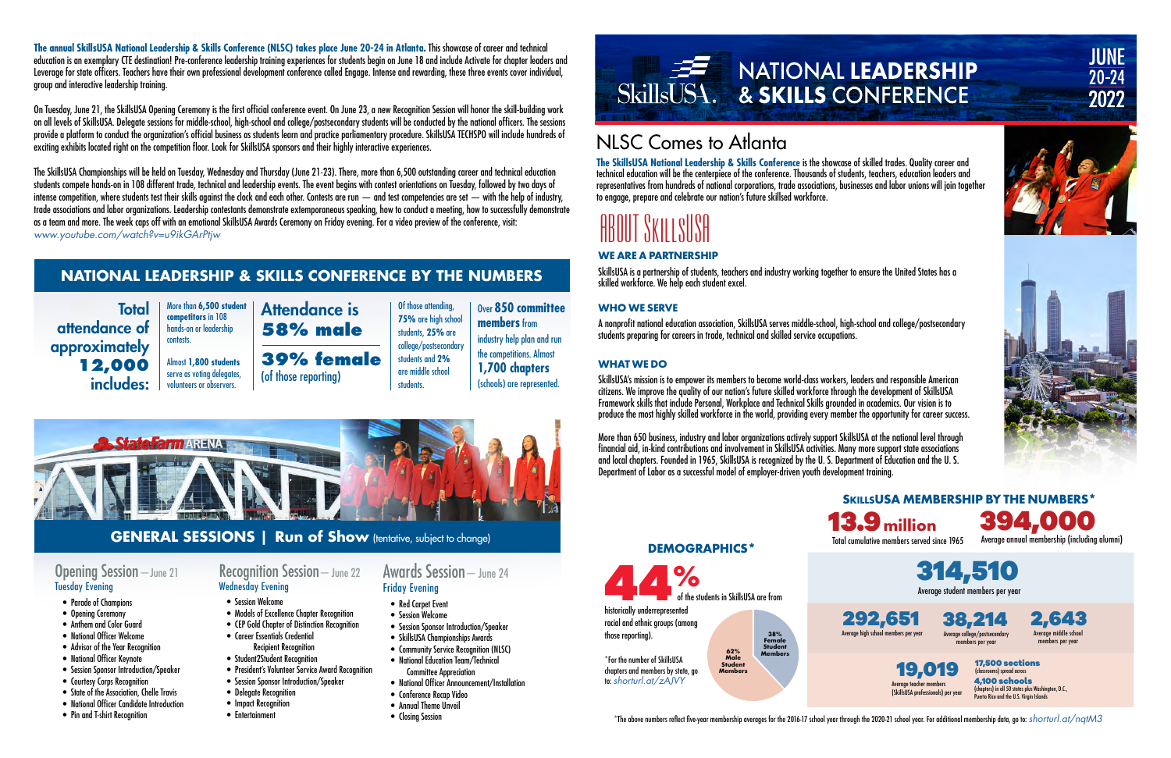## NLSC Comes to Atlanta

**The SkillsUSA National Leadership & Skills Conference** is the showcase of skilled trades. Quality career and technical education will be the centerpiece of the conference. Thousands of students, teachers, education leaders and representatives from hundreds of national corporations, trade associations, businesses and labor unions will join together to engage, prepare and celebrate our nation's future skillsed workforce.

# ABOUT SKILLSUSA

**The annual SkillsUSA National Leadership & Skills Conference (NLSC) takes place June 20-24 in Atlanta.** This showcase of career and technical education is an exemplary CTE destination! Pre-conference leadership training experiences for students begin on June 18 and include Activate for chapter leaders and Leverage for state officers. Teachers have their own professional development conference called Engage. Intense and rewarding, these three events cover individual, group and interactive leadership training.

On Tuesday, June 21, the SkillsUSA Opening Ceremony is the first official conference event. On June 23, a new Recognition Session will honor the skill-building work on all levels of SkillsUSA. Delegate sessions for middle-school, high-school and college/postsecondary students will be conducted by the national officers. The sessions provide a platform to conduct the organization's official business as students learn and practice parliamentary procedure. SkillsUSA TECHSPO will include hundreds of exciting exhibits located right on the competition floor. Look for SkillsUSA sponsors and their highly interactive experiences.

> Average college/postsecondar members per year 38,214

> > 17,500 sections (classrooms) spread across 4,100 schools (chapters) in all 50 states plus Washington, D.C., .<br>Puerto Rico and the U.S. Virain Island

 $^{\star}$ The above numbers reflect five-year membership averages for the 2016-17 school year through the 2020-21 school year. For additional membership data, go to: *shorturl.at/nqtM3* 

 $\frac{9}{6}$ of the students in SkillsUSA are from historically underrepresented

The SkillsUSA Championships will be held on Tuesday, Wednesday and Thursday (June 21-23). There, more than 6,500 outstanding career and technical education students compete hands-on in 108 different trade, technical and leadership events. The event begins with contest orientations on Tuesday, followed by two days of intense competition, where students test their skills against the clock and each other. Contests are run — and test competencies are set — with the help of industry, trade associations and labor organizations. Leadership contestants demonstrate extemporaneous speaking, how to conduct a meeting, how to successfully demonstrate as a team and more. The week caps off with an emotional SkillsUSA Awards Ceremony on Friday evening. For a video preview of the conference, visit: *[www.youtube.com/watch?v=u9ikGArPtjw](http://www.youtube.com/watch?v=u9ikGArPtjw)*

**Total** attendance of approximately **12,000** includes:



Average student members per year

Average high school members per year 292,651

Total cumulative members served since 1965 13.9**million**

Average annual membership (including alumni) 394,000





**SKILLSUSA MEMBERSHIP BY THE NUMBERS\***

#### **DEMOGRAPHICS\***

racial and ethnic groups (among those reporting).

\*For the number of SkillsUSA chapters and members by state, go to: *[shorturl.at/zAJVY](https://www.skillsusa.org/wp-content/uploads/2022/01/Schools-and-Chapters-By-State.pdf)*

**62% Male Student Members 38% Female Student Members**



**JUNE** 

 $20 - 24$ 

2022



#### **WE ARE A PARTNERSHIP**

SkillsUSA is a partnership of students, teachers and industry working together to ensure the United States has a skilled workforce. We help each student excel.

#### **WHO WE SERVE**

A nonprofit national education association, SkillsUSA serves middle-school, high-school and college/postsecondary students preparing for careers in trade, technical and skilled service occupations.

#### **WHAT WE DO**

SkillsUSA's mission is to empower its members to become world-class workers, leaders and responsible American citizens. We improve the quality of our nation's future skilled workforce through the development of SkillsUSA Framework skills that include Personal, Workplace and Technical Skills grounded in academics. Our vision is to produce the most highly skilled workforce in the world, providing every member the opportunity for career success.

More than 650 business, industry and labor organizations actively support SkillsUSA at the national level through financial aid, in-kind contributions and involvement in SkillsUSA activities. Many more support state associations and local chapters. Founded in 1965, SkillsUSA is recognized by the U. S. Department of Education and the U. S. Department of Labor as a successful model of employer-driven youth development training.

## **NATIONAL LEADERSHIP & SKILLS CONFERENCE BY THE NUMBERS**

More than **6,500 student competitors** in 108 hands-on or leadership

contests.

Almost **1,800 students**  serve as voting delegates, volunteers or observers.

Of those attending, **75%** are high school

students, **25%** are college/postsecondary students and **2%** are middle school students.

Over **850 committee members** from industry help plan and run the competitions. Almost **1,700 chapters** (schools) are represented.



Attendance is **58% male 39% female** 

(of those reporting)

#### Opening Session—June 21 Tuesday Evening

- Parade of Champions
- Opening Ceremony
- Anthem and Color Guard
- National Officer Welcome
- Advisor of the Year Recognition
- National Officer Keynote
- Session Sponsor Introduction/Speaker
- Courtesy Corps Recognition
- State of the Association, Chelle Travis
- National Officer Candidate Introduction
- Pin and T-shirt Recognition

Wednesday Evening • Session Welcome

• Models of Excellence Chapter Recognition

#### Recognition Session—June 22 Friday Evening

- President's Volunteer Service Award Recognition
- Session Sponsor Introduction/Speaker
- Delegate Recognition
- Impact Recognition
- Entertainment
- Red Carpet Event
- 
- CEP Gold Chapter of Distinction Recognition
- Career Essentials Credential Recipient Recognition
- Student2Student Recognition

# Awards Session—June 24

- 
- Session Welcome
- Session Sponsor Introduction/Speaker
	- SkillsUSA Championships Awards
	- Community Service Recognition (NLSC)
	- National Education Team/Technical Committee Appreciation
	- National Officer Announcement/Installation
	- Conference Recap Video
	- Annual Theme Unveil
	- Closing Session



### **GENERAL SESSIONS | Run of Show** (tentative, subject to change)